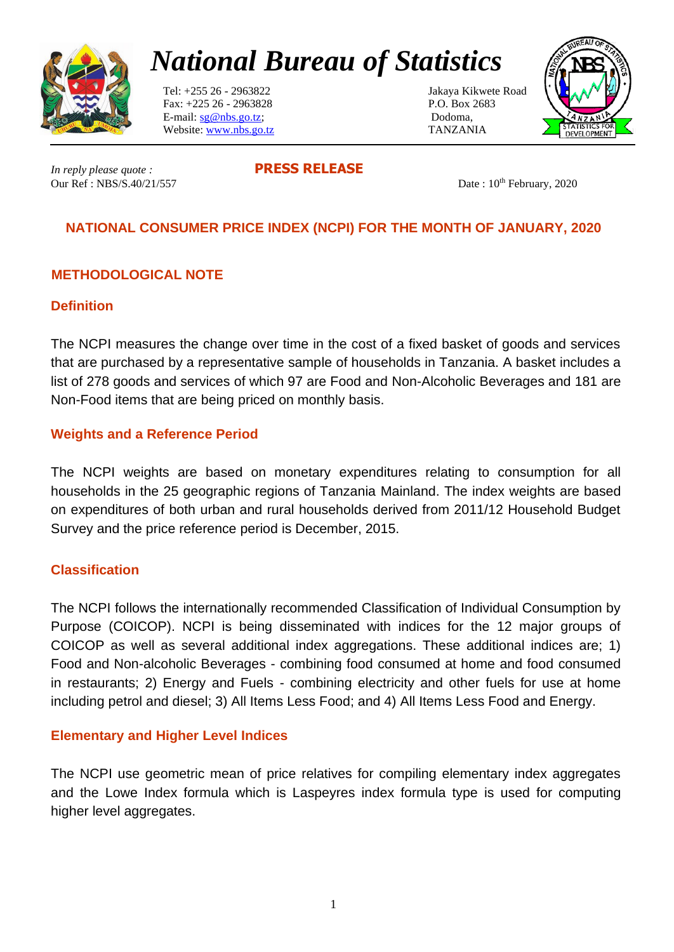

# *National Bureau of Statistics*

 Tel: +255 26 - 2963822 Jakaya Kikwete Road Fax: +225 26 - 2963828 P.O. Box 2683 E-mail:  $sg@nbs.gov.tz$ ; Dodoma, Website: [www.nbs.go.tz](http://www.nbs.go.tz/) TANZANIA



*In reply please quote :* **PRESS RELEASE** Our Ref : NBS/S.40/21/557 Date : 10<sup>th</sup> February, 2020

# **NATIONAL CONSUMER PRICE INDEX (NCPI) FOR THE MONTH OF JANUARY, 2020**

# **METHODOLOGICAL NOTE**

#### **Definition**

The NCPI measures the change over time in the cost of a fixed basket of goods and services that are purchased by a representative sample of households in Tanzania. A basket includes a list of 278 goods and services of which 97 are Food and Non-Alcoholic Beverages and 181 are Non-Food items that are being priced on monthly basis.

#### **Weights and a Reference Period**

The NCPI weights are based on monetary expenditures relating to consumption for all households in the 25 geographic regions of Tanzania Mainland. The index weights are based on expenditures of both urban and rural households derived from 2011/12 Household Budget Survey and the price reference period is December, 2015.

# **Classification**

The NCPI follows the internationally recommended Classification of Individual Consumption by Purpose (COICOP). NCPI is being disseminated with indices for the 12 major groups of COICOP as well as several additional index aggregations. These additional indices are; 1) Food and Non-alcoholic Beverages - combining food consumed at home and food consumed in restaurants; 2) Energy and Fuels - combining electricity and other fuels for use at home including petrol and diesel; 3) All Items Less Food; and 4) All Items Less Food and Energy.

#### **Elementary and Higher Level Indices**

The NCPI use geometric mean of price relatives for compiling elementary index aggregates and the Lowe Index formula which is Laspeyres index formula type is used for computing higher level aggregates.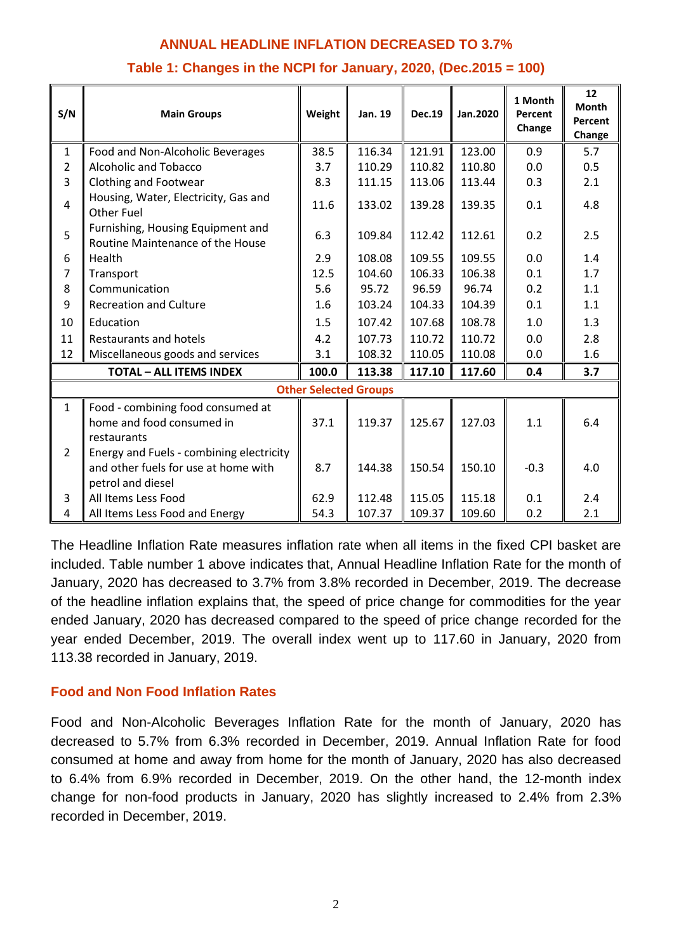# **ANNUAL HEADLINE INFLATION DECREASED TO 3.7%**

| S/N                            | <b>Main Groups</b>                                                    | Weight | Jan. 19 | <b>Dec.19</b> | Jan.2020 | 1 Month<br>Percent<br>Change | 12<br><b>Month</b><br>Percent<br>Change |
|--------------------------------|-----------------------------------------------------------------------|--------|---------|---------------|----------|------------------------------|-----------------------------------------|
| $\mathbf{1}$                   | Food and Non-Alcoholic Beverages                                      | 38.5   | 116.34  | 121.91        | 123.00   | 0.9                          | 5.7                                     |
| $\overline{2}$                 | <b>Alcoholic and Tobacco</b>                                          | 3.7    | 110.29  | 110.82        | 110.80   | 0.0                          | 0.5                                     |
| 3                              | Clothing and Footwear                                                 | 8.3    | 111.15  | 113.06        | 113.44   | 0.3                          | 2.1                                     |
| $\overline{4}$                 | Housing, Water, Electricity, Gas and<br><b>Other Fuel</b>             | 11.6   | 133.02  | 139.28        | 139.35   | 0.1                          | 4.8                                     |
| 5                              | Furnishing, Housing Equipment and<br>Routine Maintenance of the House | 6.3    | 109.84  | 112.42        | 112.61   | 0.2                          | 2.5                                     |
| 6                              | Health                                                                | 2.9    | 108.08  | 109.55        | 109.55   | 0.0                          | 1.4                                     |
| 7                              | Transport                                                             | 12.5   | 104.60  | 106.33        | 106.38   | 0.1                          | 1.7                                     |
| 8                              | Communication                                                         | 5.6    | 95.72   | 96.59         | 96.74    | 0.2                          | 1.1                                     |
| 9                              | <b>Recreation and Culture</b>                                         | 1.6    | 103.24  | 104.33        | 104.39   | 0.1                          | 1.1                                     |
| 10                             | Education                                                             | 1.5    | 107.42  | 107.68        | 108.78   | 1.0                          | 1.3                                     |
| 11                             | <b>Restaurants and hotels</b>                                         | 4.2    | 107.73  | 110.72        | 110.72   | 0.0                          | 2.8                                     |
| 12                             | Miscellaneous goods and services                                      | 3.1    | 108.32  | 110.05        | 110.08   | 0.0                          | 1.6                                     |
| <b>TOTAL - ALL ITEMS INDEX</b> |                                                                       | 100.0  | 113.38  | 117.10        | 117.60   | 0.4                          | 3.7                                     |
| <b>Other Selected Groups</b>   |                                                                       |        |         |               |          |                              |                                         |
| $\mathbf{1}$                   | Food - combining food consumed at                                     |        |         |               |          |                              |                                         |
|                                | home and food consumed in                                             | 37.1   | 119.37  | 125.67        | 127.03   | 1.1                          | 6.4                                     |
|                                | restaurants                                                           |        |         |               |          |                              |                                         |
| $\overline{2}$                 | Energy and Fuels - combining electricity                              |        |         |               |          |                              |                                         |
|                                | and other fuels for use at home with                                  | 8.7    | 144.38  | 150.54        | 150.10   | $-0.3$                       | 4.0                                     |
|                                | petrol and diesel                                                     |        |         |               |          |                              |                                         |
| 3                              | All Items Less Food                                                   | 62.9   | 112.48  | 115.05        | 115.18   | 0.1                          | 2.4                                     |
| 4                              | All Items Less Food and Energy                                        | 54.3   | 107.37  | 109.37        | 109.60   | 0.2                          | 2.1                                     |

# **Table 1: Changes in the NCPI for January, 2020, (Dec.2015 = 100)**

The Headline Inflation Rate measures inflation rate when all items in the fixed CPI basket are included. Table number 1 above indicates that, Annual Headline Inflation Rate for the month of January, 2020 has decreased to 3.7% from 3.8% recorded in December, 2019. The decrease of the headline inflation explains that, the speed of price change for commodities for the year ended January, 2020 has decreased compared to the speed of price change recorded for the year ended December, 2019. The overall index went up to 117.60 in January, 2020 from 113.38 recorded in January, 2019.

# **Food and Non Food Inflation Rates**

Food and Non-Alcoholic Beverages Inflation Rate for the month of January, 2020 has decreased to 5.7% from 6.3% recorded in December, 2019. Annual Inflation Rate for food consumed at home and away from home for the month of January, 2020 has also decreased to 6.4% from 6.9% recorded in December, 2019. On the other hand, the 12-month index change for non-food products in January, 2020 has slightly increased to 2.4% from 2.3% recorded in December, 2019.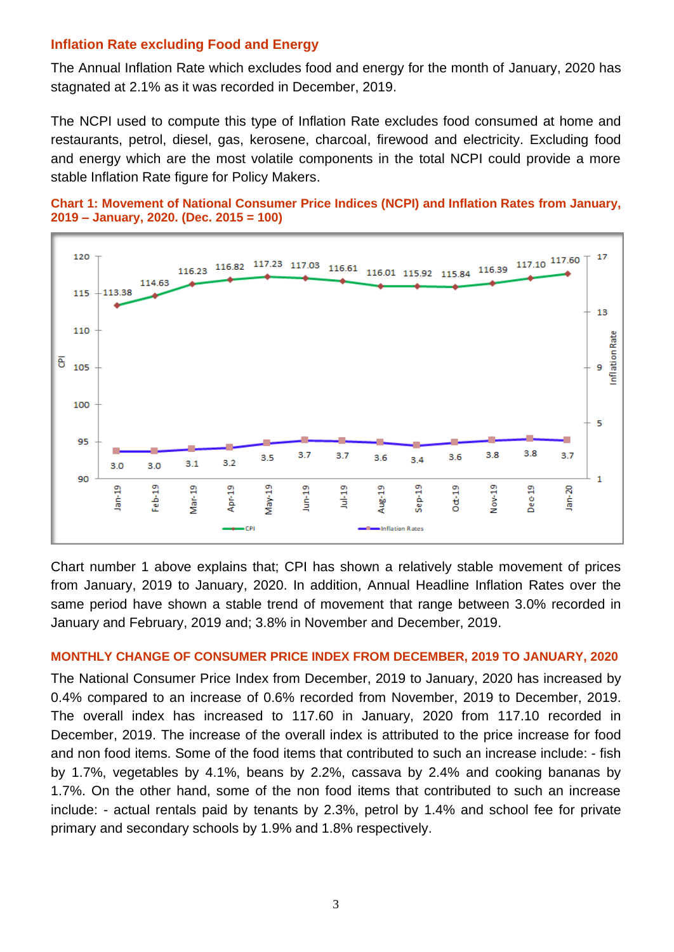# **Inflation Rate excluding Food and Energy**

The Annual Inflation Rate which excludes food and energy for the month of January, 2020 has stagnated at 2.1% as it was recorded in December, 2019.

The NCPI used to compute this type of Inflation Rate excludes food consumed at home and restaurants, petrol, diesel, gas, kerosene, charcoal, firewood and electricity. Excluding food and energy which are the most volatile components in the total NCPI could provide a more stable Inflation Rate figure for Policy Makers.





Chart number 1 above explains that; CPI has shown a relatively stable movement of prices from January, 2019 to January, 2020. In addition, Annual Headline Inflation Rates over the same period have shown a stable trend of movement that range between 3.0% recorded in January and February, 2019 and; 3.8% in November and December, 2019.

#### **MONTHLY CHANGE OF CONSUMER PRICE INDEX FROM DECEMBER, 2019 TO JANUARY, 2020**

The National Consumer Price Index from December, 2019 to January, 2020 has increased by 0.4% compared to an increase of 0.6% recorded from November, 2019 to December, 2019. The overall index has increased to 117.60 in January, 2020 from 117.10 recorded in December, 2019. The increase of the overall index is attributed to the price increase for food and non food items. Some of the food items that contributed to such an increase include: - fish by 1.7%, vegetables by 4.1%, beans by 2.2%, cassava by 2.4% and cooking bananas by 1.7%. On the other hand, some of the non food items that contributed to such an increase include: - actual rentals paid by tenants by 2.3%, petrol by 1.4% and school fee for private primary and secondary schools by 1.9% and 1.8% respectively.